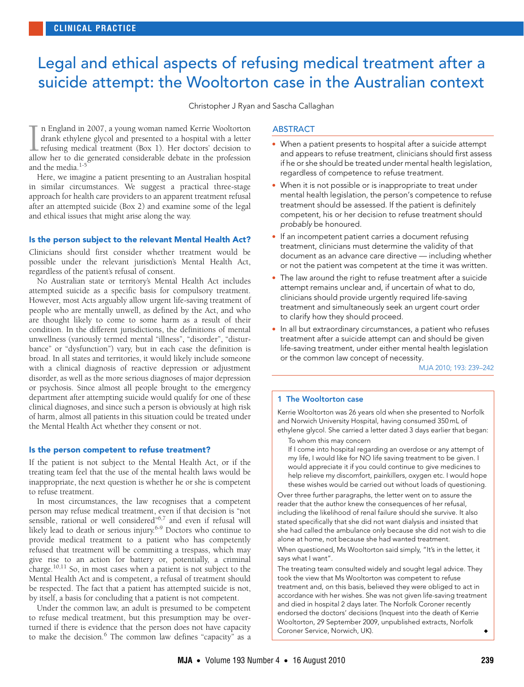## <span id="page-0-0"></span>Legal and ethical aspects of refusing medical treatment after a suicide attempt: the Wooltorton case in the Australian context

Christopher J Ryan and Sascha Callaghan

n England in 2007, a young woman named Kerrie Wooltorton drank ethylene glycol and presented to a hospital with a letter refusing medical treatment (Box 1). Her doctors' decision to allow her to die generated considerable debate in the profession and the media.<sup>[1](#page-2-0)-</sup>  $\prod_{\text{allc}}$ 

approach for health care providers to an apparent treatment refusal after an attempted suicide (Box [2\) a](#page-0-0)[nd e](#page-3-6)xamine some of the legal and ethical issues that might arise along the way. Here, we imagine a patient presenting to an Australian hospital in similar circumstances. We suggest a practical three-stage

### Is the person subject to the relevant Mental Health Act?

Clinicians should first consider whether treatment would be possible under the relevant jurisdiction's Mental Health Act, regardless of the patient's refusal of consent.

No Australian state or territory's Mental Health Act includes attempted suicide as a specific basis for compulsory treatment. However, most Acts arguably allow urgent life-saving treatment of people who are mentally unwell, as defined by the Act, and who are thought likely to come to some harm as a result of their condition. In the different jurisdictions, the definitions of mental unwellness (variously termed mental "illness", "disorder", "disturbance" or "dysfunction") vary, but in each case the definition is broad. In all states and territories, it would likely include someone with a clinical diagnosis of reactive depression or adjustment disorder, as well as the more serious diagnoses of major depression or psychosis. Since almost all people brought to the emergency department after attempting suicide would qualify for one of these clinical diagnoses, and since such a person is obviously at high risk of harm, almost all patients in this situation could be treated under the Mental Health Act whether they consent or not.

#### Is the person competent to refuse treatment?

If the patient is not subject to the Mental Health Act, or if the treating team feel that the use of the mental health laws would be inappropriate, the next question is whether he or she is competent to refuse treatment.

In most circumstances, the law recognises that a competent person may refuse medical treatment, even if that decision is "not sensible, rational or well considered"<sup>[6](#page-3-1),[7](#page-3-2)</sup> and even if refusal will likely lead to death or serious injury.[6](#page-3-1)-[9](#page-3-3) Doctors who continue to provide medical treatment to a patient who has competently refused that treatment will be committing a trespass, which may give rise to an action for battery or, potentially, a criminal charge.[10](#page-3-4),[11](#page-3-5) So, in most cases when a patient is not subject to the Mental Health Act and is competent, a refusal of treatment should be respected. The fact that a patient has attempted suicide is not, by itself, a basis for concluding that a patient is not competent.

Under the common law, an adult is presumed to be competent to refuse medical treatment, but this presumption may be overturned if there is evidence that the person does not have capacity to make the decision.<sup>[6](#page-3-1)</sup> The common law defines "capacity" as a

#### ABSTRACT

- When a patient presents to hospital after a suicide attempt and appears to refuse treatment, clinicians should first assess if he or she should be treated under mental health legislation, regardless of competence to refuse treatment.
- When it is not possible or is inappropriate to treat under mental health legislation, the person's competence to refuse treatment should be assessed. If the patient is definitely competent, his or her decision to refuse treatment should probably be honoured.
- If an incompetent patient carries a document refusing treatment, clinicians must determine the validity of that document as an advance care directive — including whether or not the patient was competent at the time it was written.
- The law around the right to refuse treatment after a suicide attempt remains unclear and, if uncertain of what to do, clinicians should provide urgently required life-saving treatment and simultaneously seek an urgent court order to clarify how they should proceed.
- In all but extraordinary circumstances, a patient who refuses treatment after a suicide attempt can and should be given life-saving treatment, under either mental health legislation or the common law concept of necessity.

MJA 2010; 193: 239–242

#### 1 The Wooltorton case

Kerrie Wooltorton was 26 years old when she presented to Norfolk and Norwich University Hospital, having consumed 350 mL of ethylene glycol. She carried a letter dated 3 days earlier that began:

To whom this may concern

If I come into hospital regarding an overdose or any attempt of my life, I would like for NO life saving treatment to be given. I would appreciate it if you could continue to give medicines to help relieve my discomfort, painkillers, oxygen etc. I would hope these wishes would be carried out without loads of questioning.

Over three further paragraphs, the letter went on to assure the reader that the author knew the consequences of her refusal, including the likelihood of renal failure should she survive. It also stated specifically that she did not want dialysis and insisted that she had called the ambulance only because she did not wish to die alone at home, not because she had wanted treatment.

When questioned, Ms Wooltorton said simply, "It's in the letter, it says what I want".

The treating team consulted widely and sought legal advice. They took the view that Ms Wooltorton was competent to refuse treatment and, on this basis, believed they were obliged to act in accordance with her wishes. She was not given life-saving treatment and died in hospital 2 days later. The Norfolk Coroner recently endorsed the doctors' decisions (Inquest into the death of Kerrie Wooltorton, 29 September 2009, unpublished extracts, Norfolk Coroner Service, Norwich, UK).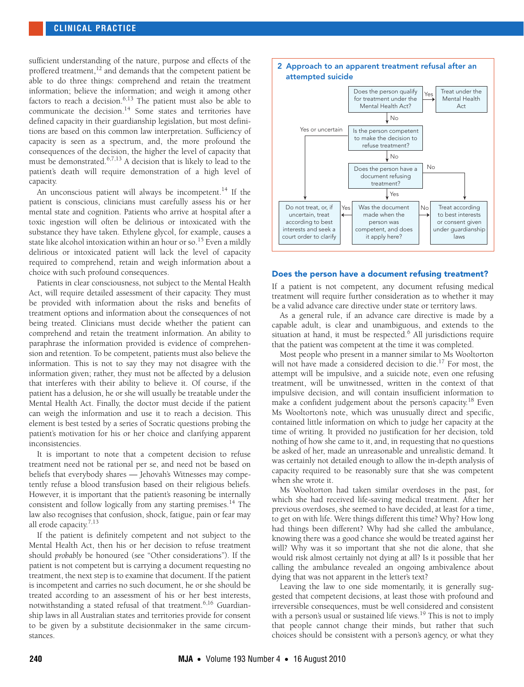#### **CLINICAL PRACTICE**

sufficient understanding of the nature, purpose and effects of the proffered treatment,<sup>12</sup> and demands that the competent patient be able to do three things: comprehend and retain the treatment information; believe the information; and weigh it among other factors to reach a decision. $6,13$  $6,13$  The patient must also be able to communicate the decision.<sup>14</sup> Some states and territories have defined capacity in their guardianship legislation, but most definitions are based on this common law interpretation. Sufficiency of capacity is seen as a spectrum, and, the more profound the consequences of the decision, the higher the level of capacity that must be demonstrated.<sup>[6](#page-3-1)[,7,](#page-3-2)[13](#page-3-8)</sup> A decision that is likely to lead to the patient's death will require demonstration of a high level of capacity.

An unconscious patient will always be incompetent.<sup>14</sup> If the patient is conscious, clinicians must carefully assess his or her mental state and cognition. Patients who arrive at hospital after a toxic ingestion will often be delirious or intoxicated with the substance they have taken. Ethylene glycol, for example, causes a state like alcohol intoxication within an hour or so.<sup>[15](#page-3-10)</sup> Even a mildly delirious or intoxicated patient will lack the level of capacity required to comprehend, retain and weigh information about a choice with such profound consequences.

Patients in clear consciousness, not subject to the Mental Health Act, will require detailed assessment of their capacity. They must be provided with information about the risks and benefits of treatment options and information about the consequences of not being treated. Clinicians must decide whether the patient can comprehend and retain the treatment information. An ability to paraphrase the information provided is evidence of comprehension and retention. To be competent, patients must also believe the information. This is not to say they may not disagree with the information given; rather, they must not be affected by a delusion that interferes with their ability to believe it. Of course, if the patient has a delusion, he or she will usually be treatable under the Mental Health Act. Finally, the doctor must decide if the patient can weigh the information and use it to reach a decision. This element is best tested by a series of Socratic questions probing the patient's motivation for his or her choice and clarifying apparent inconsistencies.

It is important to note that a competent decision to refuse treatment need not be rational per se, and need not be based on beliefs that everybody shares — Jehovah's Witnesses may competently refuse a blood transfusion based on their religious beliefs. However, it is important that the patient's reasoning be internally consistent and follow logically from any starting premises.<sup>[14](#page-3-9)</sup> The law also recognises that confusion, shock, fatigue, pain or fear may all erode capacity.<sup>[7](#page-3-2)[,13](#page-3-8)</sup>

If the patient is definitely competent and not subject to the Mental Health Act, then his or her decision to refuse treatment should *probably* be honoured (see "Other considerations"). If the patient is not competent but is carrying a document requesting no treatment, the next step is to examine that document. If the patient is incompetent and carries no such document, he or she should be treated according to an assessment of his or her best interests, notwithstanding a stated refusal of that treatment.<sup>[6](#page-3-1),16</sup> Guardianship laws in all Australian states and territories provide for consent to be given by a substitute decisionmaker in the same circumstances.



#### Does the person have a document refusing treatment?

If a patient is not competent, any document refusing medical treatment will require further consideration as to whether it may be a valid advance care directive under state or territory laws.

As a general rule, if an advance care directive is made by a capable adult, is clear and unambiguous, and extends to the situation at hand, it must be respected.<sup>[6](#page-3-1)</sup> All jurisdictions require that the patient was competent at the time it was completed.

Most people who present in a manner similar to Ms Wooltorton will not have made a considered decision to die.<sup>17</sup> For most, the attempt will be impulsive, and a suicide note, even one refusing treatment, will be unwitnessed, written in the context of that impulsive decision, and will contain insufficient information to make a confident judgement about the person's capacity.<sup>18</sup> Even Ms Wooltorton's note, which was unusually direct and specific, contained little information on which to judge her capacity at the time of writing. It provided no justification for her decision, told nothing of how she came to it, and, in requesting that no questions be asked of her, made an unreasonable and unrealistic demand. It was certainly not detailed enough to allow the in-depth analysis of capacity required to be reasonably sure that she was competent when she wrote it.

Ms Wooltorton had taken similar overdoses in the past, for which she had received life-saving medical treatment. After her previous overdoses, she seemed to have decided, at least for a time, to get on with life. Were things different this time? Why? How long had things been different? Why had she called the ambulance, knowing there was a good chance she would be treated against her will? Why was it so important that she not die alone, that she would risk almost certainly not dying at all? Is it possible that her calling the ambulance revealed an ongoing ambivalence about dying that was not apparent in the letter's text?

Leaving the law to one side momentarily, it is generally suggested that competent decisions, at least those with profound and irreversible consequences, must be well considered and consistent with a person's usual or sustained life views.<sup>19</sup> This is not to imply that people cannot change their minds, but rather that such choices should be consistent with a person's agency, or what they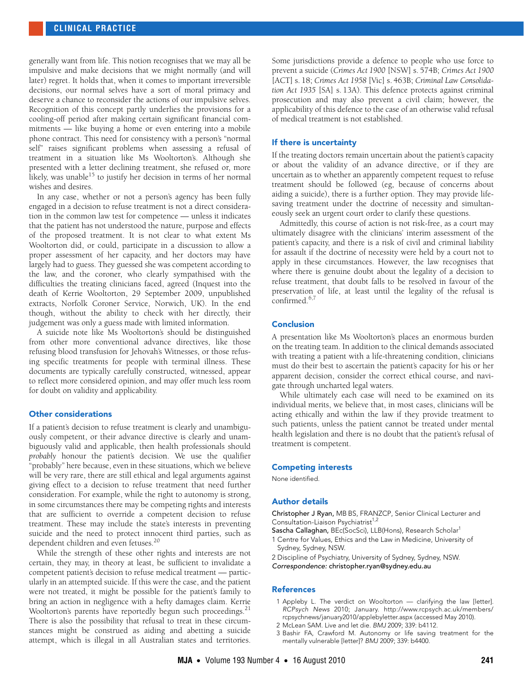generally want from life. This notion recognises that we may all be impulsive and make decisions that we might normally (and will later) regret. It holds that, when it comes to important irreversible decisions, our normal selves have a sort of moral primacy and deserve a chance to reconsider the actions of our impulsive selves. Recognition of this concept partly underlies the provisions for a cooling-off period after making certain significant financial commitments — like buying a home or even entering into a mobile phone contract. This need for consistency with a person's "normal self" raises significant problems when assessing a refusal of treatment in a situation like Ms Wooltorton's. Although she presented with a letter declining treatment, she refused or, more likely, was unable $^{15}$  to justify her decision in terms of her normal wishes and desires.

In any case, whether or not a person's agency has been fully engaged in a decision to refuse treatment is not a direct consideration in the common law test for competence — unless it indicates that the patient has not understood the nature, purpose and effects of the proposed treatment. It is not clear to what extent Ms Wooltorton did, or could, participate in a discussion to allow a proper assessment of her capacity, and her doctors may have largely had to guess. They guessed she was competent according to the law, and the coroner, who clearly sympathised with the difficulties the treating clinicians faced, agreed (Inquest into the death of Kerrie Wooltorton, 29 September 2009, unpublished extracts, Norfolk Coroner Service, Norwich, UK). In the end though, without the ability to check with her directly, their judgement was only a guess made with limited information.

A suicide note like Ms Wooltorton's should be distinguished from other more conventional advance directives, like those refusing blood transfusion for Jehovah's Witnesses, or those refusing specific treatments for people with terminal illness. These documents are typically carefully constructed, witnessed, appear to reflect more considered opinion, and may offer much less room for doubt on validity and applicability.

#### Other considerations

If a patient's decision to refuse treatment is clearly and unambiguously competent, or their advance directive is clearly and unambiguously valid and applicable, then health professionals should *probably* honour the patient's decision. We use the qualifier "probably" here because, even in these situations, which we believe will be very rare, there are still ethical and legal arguments against giving effect to a decision to refuse treatment that need further consideration. For example, while the right to autonomy is strong, in some circumstances there may be competing rights and interests that are sufficient to override a competent decision to refuse treatment. These may include the state's interests in preventing suicide and the need to protect innocent third parties, such as dependent children and even fetuses.<sup>[20](#page-3-15)</sup>

While the strength of these other rights and interests are not certain, they may, in theory at least, be sufficient to invalidate a competent patient's decision to refuse medical treatment — particularly in an attempted suicide. If this were the case, and the patient were not treated, it might be possible for the patient's family to bring an action in negligence with a hefty damages claim. Kerrie Wooltorton's parents have reportedly begun such proceedings.<sup>[21](#page-3-6)</sup> There is also the possibility that refusal to treat in these circumstances might be construed as aiding and abetting a suicide attempt, which is illegal in all Australian states and territories.

Some jurisdictions provide a defence to people who use force to prevent a suicide (*Crimes Act 1900* [NSW] s. 574B; *Crimes Act 1900* [ACT] s. 18; *Crimes Act 1958* [Vic] s. 463B; *Criminal Law Consolidation Act 1935* [SA] s. 13A). This defence protects against criminal prosecution and may also prevent a civil claim; however, the applicability of this defence to the case of an otherwise valid refusal of medical treatment is not established.

#### If there is uncertainty

If the treating doctors remain uncertain about the patient's capacity or about the validity of an advance directive, or if they are uncertain as to whether an apparently competent request to refuse treatment should be followed (eg, because of concerns about aiding a suicide), there is a further option. They may provide lifesaving treatment under the doctrine of necessity and simultaneously seek an urgent court order to clarify these questions.

Admittedly, this course of action is not risk-free, as a court may ultimately disagree with the clinicians' interim assessment of the patient's capacity, and there is a risk of civil and criminal liability for assault if the doctrine of necessity were held by a court not to apply in these circumstances. However, the law recognises that where there is genuine doubt about the legality of a decision to refuse treatment, that doubt falls to be resolved in favour of the preservation of life, at least until the legality of the refusal is confirmed. $6,7$  $6,7$  $6,7$ 

#### Conclusion

A presentation like Ms Wooltorton's places an enormous burden on the treating team. In addition to the clinical demands associated with treating a patient with a life-threatening condition, clinicians must do their best to ascertain the patient's capacity for his or her apparent decision, consider the correct ethical course, and navigate through uncharted legal waters.

While ultimately each case will need to be examined on its individual merits, we believe that, in most cases, clinicians will be acting ethically and within the law if they provide treatment to such patients, unless the patient cannot be treated under mental health legislation and there is no doubt that the patient's refusal of treatment is competent.

#### Competing interests

None identified.

#### Author details

Christopher J Ryan, MB BS, FRANZCP, Senior Clinical Lecturer and Consultation-Liaison Psychiatrist<sup>1,2</sup>

Sascha Callaghan, BEc(SocSci), LLB(Hons), Research Scholar1

1 Centre for Values, Ethics and the Law in Medicine, University of Sydney, Sydney, NSW.

2 Discipline of Psychiatry, University of Sydney, Sydney, NSW. Correspondence: christopher.ryan@sydney.edu.au

#### **References**

- <span id="page-2-0"></span>1 Appleby L. The verdict on Wooltorton — clarifying the law [letter]. RCPsych News 2010; January. http://www.rcpsych.ac.uk/members/ rcpsychnews/january2010/applebyletter.aspx (accessed May 2010).
- 2 McLean SAM. Live and let die. BMJ 2009; 339: b4112.
- 3 Bashir FA, Crawford M. Autonomy or life saving treatment for the mentally vulnerable [letter]? BMJ 2009; 339: b4400.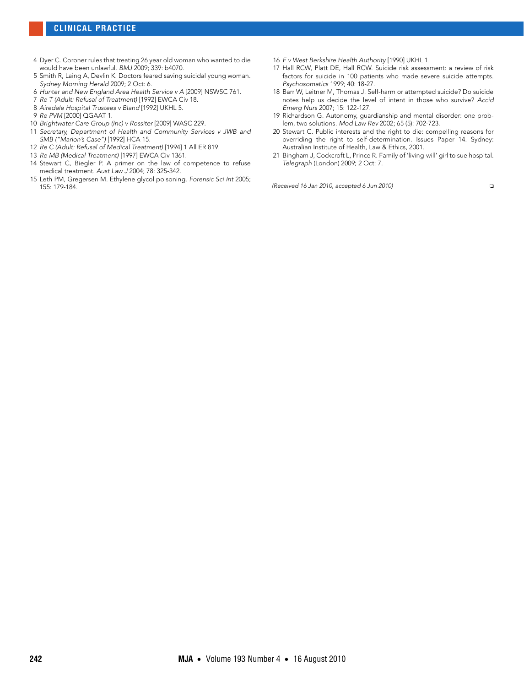- 4 Dyer C. Coroner rules that treating 26 year old woman who wanted to die would have been unlawful. BMJ 2009; 339: b4070.
- <span id="page-3-0"></span>5 Smith R, Laing A, Devlin K. Doctors feared saving suicidal young woman. Sydney Morning Herald 2009; 2 Oct: 6.
- <span id="page-3-1"></span>6 Hunter and New England Area Health Service v A [2009] NSWSC 761.
- <span id="page-3-2"></span>7 Re T (Adult: Refusal of Treatment) [1992] EWCA Civ 18.
- 8 Airedale Hospital Trustees v Bland [1992] UKHL 5.
- <span id="page-3-3"></span>9 Re PVM [2000] QGAAT 1.
- <span id="page-3-4"></span>10 Brightwater Care Group (Inc) v Rossiter [2009] WASC 229.
- <span id="page-3-5"></span>11 Secretary, Department of Health and Community Services v JWB and SMB ("Marion's Case") [1992] HCA 15.
- <span id="page-3-7"></span>12 Re C (Adult: Refusal of Medical Treatment) [1994] 1 All ER 819.
- <span id="page-3-8"></span>13 Re MB (Medical Treatment) [1997] EWCA Civ 1361.
- <span id="page-3-9"></span>14 Stewart C, Biegler P. A primer on the law of competence to refuse medical treatment. Aust Law J 2004; 78: 325-342.
- <span id="page-3-10"></span>15 Leth PM, Gregersen M. Ethylene glycol poisoning. Forensic Sci Int 2005; 155: 179-184.
- <span id="page-3-11"></span>16 F v West Berkshire Health Authority [1990] UKHL 1.
- <span id="page-3-12"></span>17 Hall RCW, Platt DE, Hall RCW. Suicide risk assessment: a review of risk factors for suicide in 100 patients who made severe suicide attempts. Psychosomatics 1999; 40: 18-27.
- <span id="page-3-13"></span>18 Barr W, Leitner M, Thomas J. Self-harm or attempted suicide? Do suicide notes help us decide the level of intent in those who survive? Accid Emerg Nurs 2007; 15: 122-127.
- <span id="page-3-14"></span>19 Richardson G. Autonomy, guardianship and mental disorder: one problem, two solutions. Mod Law Rev 2002; 65 (5): 702-723.
- <span id="page-3-15"></span>20 Stewart C. Public interests and the right to die: compelling reasons for overriding the right to self-determination. Issues Paper 14. Sydney: Australian Institute of Health, Law & Ethics, 2001.
- <span id="page-3-6"></span>21 Bingham J, Cockcroft L, Prince R. Family of 'living-will' girl to sue hospital. Telegraph (London) 2009; 2 Oct: 7.

(Received 16 Jan 2010, accepted 6 Jun 2010) ❏